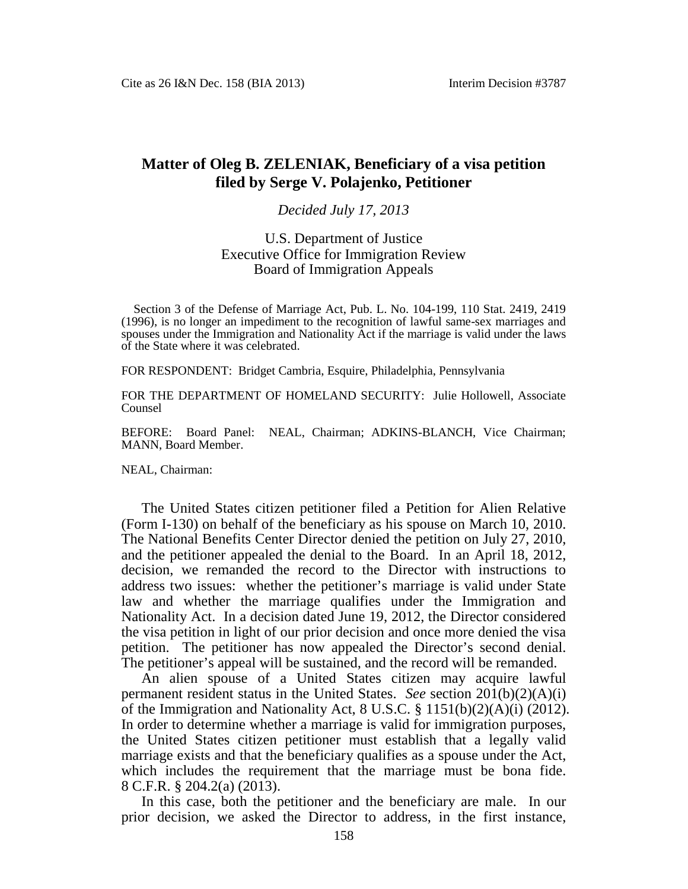## **Matter of Oleg B. ZELENIAK, Beneficiary of a visa petition filed by Serge V. Polajenko, Petitioner**

## *Decided July 17, 2013*

## U.S. Department of Justice Executive Office for Immigration Review Board of Immigration Appeals

Section 3 of the Defense of Marriage Act, Pub. L. No. 104-199, 110 Stat. 2419, 2419 (1996), is no longer an impediment to the recognition of lawful same-sex marriages and spouses under the Immigration and Nationality Act if the marriage is valid under the laws of the State where it was celebrated.

FOR RESPONDENT: Bridget Cambria, Esquire, Philadelphia, Pennsylvania

FOR THE DEPARTMENT OF HOMELAND SECURITY: Julie Hollowell, Associate Counsel

BEFORE: Board Panel: NEAL, Chairman; ADKINS-BLANCH, Vice Chairman; MANN, Board Member.

NEAL, Chairman:

The United States citizen petitioner filed a Petition for Alien Relative (Form I-130) on behalf of the beneficiary as his spouse on March 10, 2010. The National Benefits Center Director denied the petition on July 27, 2010, and the petitioner appealed the denial to the Board. In an April 18, 2012, decision, we remanded the record to the Director with instructions to address two issues: whether the petitioner's marriage is valid under State law and whether the marriage qualifies under the Immigration and Nationality Act. In a decision dated June 19, 2012, the Director considered the visa petition in light of our prior decision and once more denied the visa petition. The petitioner has now appealed the Director's second denial. The petitioner's appeal will be sustained, and the record will be remanded.

An alien spouse of a United States citizen may acquire lawful permanent resident status in the United States. *See* section 201(b)(2)(A)(i) of the Immigration and Nationality Act, 8 U.S.C. § 1151(b)(2)(A)(i) (2012). In order to determine whether a marriage is valid for immigration purposes, the United States citizen petitioner must establish that a legally valid marriage exists and that the beneficiary qualifies as a spouse under the Act, which includes the requirement that the marriage must be bona fide. 8 C.F.R. § 204.2(a) (2013).

In this case, both the petitioner and the beneficiary are male. In our prior decision, we asked the Director to address, in the first instance,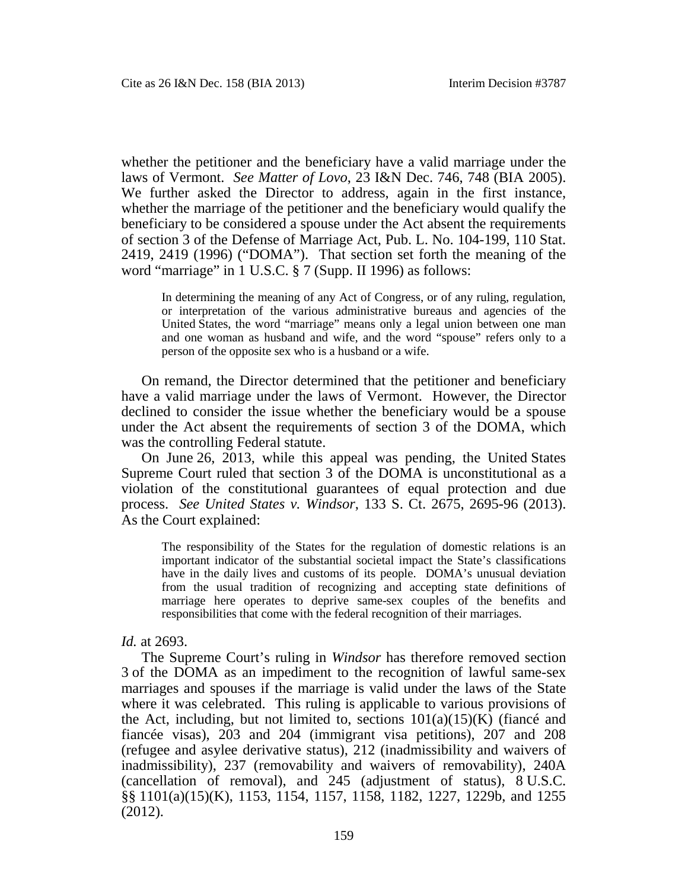whether the petitioner and the beneficiary have a valid marriage under the laws of Vermont. *See Matter of Lovo*, 23 I&N Dec. 746, 748 (BIA 2005). We further asked the Director to address, again in the first instance, whether the marriage of the petitioner and the beneficiary would qualify the beneficiary to be considered a spouse under the Act absent the requirements of section 3 of the Defense of Marriage Act, Pub. L. No. 104-199, 110 Stat. 2419, 2419 (1996) ("DOMA"). That section set forth the meaning of the word "marriage" in 1 U.S.C. § 7 (Supp. II 1996) as follows:

In determining the meaning of any Act of Congress, or of any ruling, regulation, or interpretation of the various administrative bureaus and agencies of the United States, the word "marriage" means only a legal union between one man and one woman as husband and wife, and the word "spouse" refers only to a person of the opposite sex who is a husband or a wife.

On remand, the Director determined that the petitioner and beneficiary have a valid marriage under the laws of Vermont. However, the Director declined to consider the issue whether the beneficiary would be a spouse under the Act absent the requirements of section 3 of the DOMA, which was the controlling Federal statute.

On June 26, 2013, while this appeal was pending, the United States Supreme Court ruled that section 3 of the DOMA is unconstitutional as a violation of the constitutional guarantees of equal protection and due process. *See United States v. Windsor*, 133 S. Ct. 2675, 2695-96 (2013). As the Court explained:

The responsibility of the States for the regulation of domestic relations is an important indicator of the substantial societal impact the State's classifications have in the daily lives and customs of its people. DOMA's unusual deviation from the usual tradition of recognizing and accepting state definitions of marriage here operates to deprive same-sex couples of the benefits and responsibilities that come with the federal recognition of their marriages.

## *Id.* at 2693.

The Supreme Court's ruling in *Windsor* has therefore removed section 3 of the DOMA as an impediment to the recognition of lawful same-sex marriages and spouses if the marriage is valid under the laws of the State where it was celebrated. This ruling is applicable to various provisions of the Act, including, but not limited to, sections  $101(a)(15)(K)$  (fiance and fiancée visas), 203 and 204 (immigrant visa petitions), 207 and 208 (refugee and asylee derivative status), 212 (inadmissibility and waivers of inadmissibility), 237 (removability and waivers of removability), 240A (cancellation of removal), and 245 (adjustment of status), 8 U.S.C. §§ 1101(a)(15)(K), 1153, 1154, 1157, 1158, 1182, 1227, 1229b, and 1255 (2012).